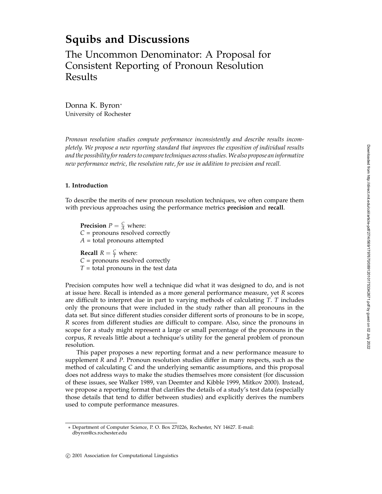# **Squibs and Discussions**

The Uncommon Denominator: A Proposal for Consistent Reporting of Pronoun Resolution Results

Donna K. Byron<sup>∗</sup> University of Rochester

*Pronoun resolution studies compute performance inconsistently and describe results incompletely. We propose a new reporting standard that improves the exposition of individual results and the possibility for readers to compare techniques across studies. We also propose an informative new performance metric, the resolution rate, for use in addition to precision and recall.*

# **1. Introduction**

To describe the merits of new pronoun resolution techniques, we often compare them with previous approaches using the performance metrics **precision** and **recall**.

**Precision**  $P = \frac{C}{A}$  where: *C* = pronouns resolved correctly  $A =$  total pronouns attempted

**Recall**  $R = \frac{C}{T}$  where: *C* = pronouns resolved correctly *T* = total pronouns in the test data

Precision computes how well a technique did what it was designed to do, and is not at issue here. Recall is intended as a more general performance measure, yet *R* scores are difficult to interpret due in part to varying methods of calculating *T*. *T* includes only the pronouns that were included in the study rather than all pronouns in the data set. But since different studies consider different sorts of pronouns to be in scope, *R* scores from different studies are difficult to compare. Also, since the pronouns in scope for a study might represent a large or small percentage of the pronouns in the corpus, *R* reveals little about a technique's utility for the general problem of pronoun resolution.

This paper proposes a new reporting format and a new performance measure to supplement *R* and *P*. Pronoun resolution studies differ in many respects, such as the method of calculating *C* and the underlying semantic assumptions, and this proposal does not address ways to make the studies themselves more consistent (for discussion of these issues, see Walker 1989, van Deemter and Kibble 1999, Mitkov 2000). Instead, we propose a reporting format that clarifies the details of a study's test data (especially those details that tend to differ between studies) and explicitly derives the numbers used to compute performance measures.

<sup>∗</sup> Department of Computer Science, P. O. Box 270226, Rochester, NY 14627. E-mail: dbyron@cs.rochester.edu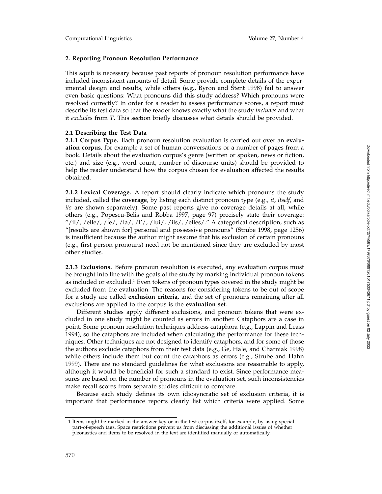## **2. Reporting Pronoun Resolution Performance**

This squib is necessary because past reports of pronoun resolution performance have included inconsistent amounts of detail. Some provide complete details of the experimental design and results, while others (e.g., Byron and Stent 1998) fail to answer even basic questions: What pronouns did this study address? Which pronouns were resolved correctly? In order for a reader to assess performance scores, a report must describe its test data so that the reader knows exactly what the study *includes* and what it *excludes* from *T*. This section briefly discusses what details should be provided.

## **2.1 Describing the Test Data**

**2.1.1 Corpus Type.** Each pronoun resolution evaluation is carried out over an **evaluation corpus**, for example a set of human conversations or a number of pages from a book. Details about the evaluation corpus's genre (written or spoken, news or fiction, etc.) and size (e.g., word count, number of discourse units) should be provided to help the reader understand how the corpus chosen for evaluation affected the results obtained.

**2.1.2 Lexical Coverage.** A report should clearly indicate which pronouns the study included, called the **coverage**, by listing each distinct pronoun type (e.g., *it* , *itself*, and *its* are shown separately). Some past reports give no coverage details at all, while others (e.g., Popescu-Belis and Robba 1997, page 97) precisely state their coverage: "/il/, /elle/, /le/, /la/, /l'/, /lui/, /ils/, /elles/." A categorical description, such as "[results are shown for] personal and possessive pronouns" (Strube 1998, page 1256) is insufficient because the author might assume that his exclusion of certain pronouns (e.g., first person pronouns) need not be mentioned since they are excluded by most other studies.

**2.1.3 Exclusions.** Before pronoun resolution is executed, any evaluation corpus must be brought into line with the goals of the study by marking individual pronoun tokens as included or excluded.<sup>1</sup> Even tokens of pronoun types covered in the study might be excluded from the evaluation. The reasons for considering tokens to be out of scope for a study are called **exclusion criteria**, and the set of pronouns remaining after all exclusions are applied to the corpus is the **evaluation set** .

Different studies apply different exclusions, and pronoun tokens that were excluded in one study might be counted as errors in another. Cataphors are a case in point. Some pronoun resolution techniques address cataphora (e.g., Lappin and Leass 1994), so the cataphors are included when calculating the performance for these techniques. Other techniques are not designed to identify cataphors, and for some of those the authors exclude cataphors from their test data (e.g., Ge, Hale, and Charniak 1998) while others include them but count the cataphors as errors (e.g., Strube and Hahn 1999). There are no standard guidelines for what exclusions are reasonable to apply, although it would be beneficial for such a standard to exist. Since performance measures are based on the number of pronouns in the evaluation set, such inconsistencies make recall scores from separate studies difficult to compare.

Because each study defines its own idiosyncratic set of exclusion criteria, it is important that performance reports clearly list which criteria were applied. Some

<sup>1</sup> Items might be marked in the answer key or in the test corpus itself, for example, by using special part-of-speech tags. Space restrictions prevent us from discussing the additional issues of whether pleonastics and items to be resolved in the text are identified manually or automatically.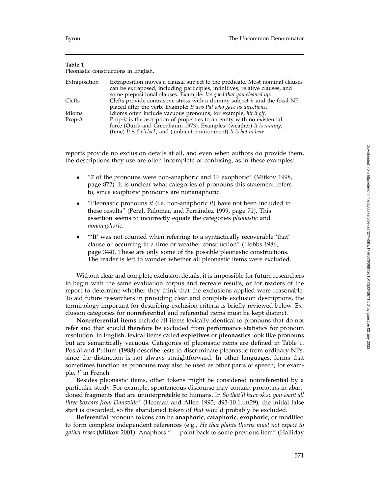| Pleonastic constructions in English. |                                                                                                                                                                                                                                     |  |  |  |  |  |  |  |
|--------------------------------------|-------------------------------------------------------------------------------------------------------------------------------------------------------------------------------------------------------------------------------------|--|--|--|--|--|--|--|
| Extraposition                        | Extraposition moves a clausal subject to the predicate. Most nominal clauses<br>can be extraposed, including participles, infinitives, relative clauses, and<br>some prepositional clauses. Example: It's good that you cleaned up. |  |  |  |  |  |  |  |
| Clefts                               | Clefts provide contrastive stress with a dummy subject it and the focal NP<br>placed after the verb. Example: It was Pat who gave us directions.                                                                                    |  |  |  |  |  |  |  |
| Idioms                               | Idioms often include vacuous pronouns, for example, hit it off.                                                                                                                                                                     |  |  |  |  |  |  |  |
| $Prop-it$                            | Prop-it is the ascription of properties to an entity with no existential<br>force (Quirk and Greenbaum 1973). Examples: (weather) It is raining,<br>(time) It is $5$ o'clock, and (ambient environment) It is hot in here.          |  |  |  |  |  |  |  |
|                                      |                                                                                                                                                                                                                                     |  |  |  |  |  |  |  |

**Table 1**

reports provide no exclusion details at all, and even when authors do provide them, the descriptions they use are often incomplete or confusing, as in these examples:

- "7 of the pronouns were non-anaphoric and 16 exophoric" (Mitkov 1998, page 872). It is unclear what categories of pronouns this statement refers to, since exophoric pronouns are nonanaphoric.
- "Pleonastic pronouns *it* (i.e. non-anaphoric *it*) have not been included in these results" (Peral, Palomar, and Ferrández 1999, page 71). This assertion seems to incorrectly equate the categories *pleonastic* and *nonanaphoric* .
- "'It' was not counted when referring to a syntactically recoverable 'that' clause or occurring in a time or weather construction" (Hobbs 1986, page 344). These are only some of the possible pleonastic constructions. The reader is left to wonder whether all pleonastic items were excluded.

Without clear and complete exclusion details, it is impossible for future researchers to begin with the same evaluation corpus and recreate results, or for readers of the report to determine whether they think that the exclusions applied were reasonable. To aid future researchers in providing clear and complete exclusion descriptions, the terminology important for describing exclusion criteria is briefly reviewed below. Exclusion categories for nonreferential and referential items must be kept distinct.

**Nonreferential items** include all items lexically identical to pronouns that do not refer and that should therefore be excluded from performance statistics for pronoun resolution. In English, lexical items called **expletives** or **pleonastics** look like pronouns but are semantically vacuous. Categories of pleonastic items are defined in Table 1. Postal and Pullum (1988) describe tests to discriminate pleonastic from ordinary NPs, since the distinction is not always straightforward. In other languages, forms that sometimes function as pronouns may also be used as other parts of speech, for example, *l'* in French.

Besides pleonastic items, other tokens might be considered nonreferential by a particular study. For example, spontaneous discourse may contain pronouns in abandoned fragments that are uninterpretable to humans. In *So that'll have ok so you want all three boxcars from Dansville?* (Heeman and Allen 1995, d93-10.1,utt29), the initial false start is discarded, so the abandoned token of *that* would probably be excluded.

**Referential** pronoun tokens can be **anaphoric** , **cataphoric** , **exophoric**, or modified to form complete independent references (e.g., *He that plants thorns must not expect to gather roses* (Mitkov 2001). Anaphors "*...* point back to some previous item" (Halliday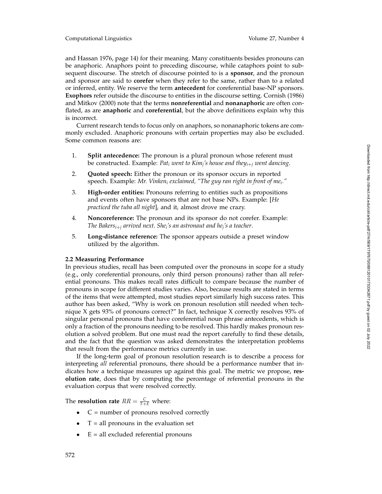and Hassan 1976, page 14) for their meaning. Many constituents besides pronouns can be anaphoric. Anaphors point to preceding discourse, while cataphors point to subsequent discourse. The stretch of discourse pointed to is a **sponsor**, and the pronoun and sponsor are said to **corefer** when they refer to the same, rather than to a related or inferred, entity. We reserve the term **antecedent** for coreferential base-NP sponsors. **Exophors** refer outside the discourse to entities in the discourse setting. Cornish (1986) and Mitkov (2000) note that the terms **nonreferential** and **nonanaphoric** are often conflated, as are **anaphoric** and **coreferential**, but the above definitions explain why this is incorrect.

Current research tends to focus only on anaphors, so nonanaphoric tokens are commonly excluded. Anaphoric pronouns with certain properties may also be excluded. Some common reasons are:

- 1. **Split antecedence:** The pronoun is a plural pronoun whose referent must be constructed. Example: *Pat <sup>i</sup> went to Kimj's house and they i* + *<sup>j</sup> went dancing* .
- 2. **Quoted speech:** Either the pronoun or its sponsor occurs in reported speech. Example: *Mr. Vinken <sup>i</sup> exclaimed, "The guy ran right in front of me i."*
- 3. **High-order entities:** Pronouns referring to entities such as propositions and events often have sponsors that are not base NPs. Example: [*He*  $p$ racticed the tuba all night] $_i$  and it $_i$  almost drove me crazy.
- 4. **Noncoreference:** The pronoun and its sponsor do not corefer. Example: The Bakers<sub>i+j</sub> arrived next. She<sub>i</sub>'s an astronaut and he<sub>j</sub>'s a teacher.
- 5. **Long-distance reference:** The sponsor appears outside a preset window utilized by the algorithm.

# **2.2 Measuring Performance**

In previous studies, recall has been computed over the pronouns in scope for a study (e.g., only coreferential pronouns, only third person pronouns) rather than all referential pronouns. This makes recall rates difficult to compare because the number of pronouns in scope for different studies varies. Also, because results are stated in terms of the items that were attempted, most studies report similarly high success rates. This author has been asked, "Why is work on pronoun resolution still needed when technique X gets 93% of pronouns correct?" In fact, technique X correctly resolves 93% of singular personal pronouns that have coreferential noun phrase antecedents, which is only a fraction of the pronouns needing to be resolved. This hardly makes pronoun resolution a solved problem. But one must read the report carefully to find these details, and the fact that the question was asked demonstrates the interpretation problems that result from the performance metrics currently in use.

If the long-term goal of pronoun resolution research is to describe a process for interpreting *all* referential pronouns, there should be a performance number that indicates how a technique measures up against this goal. The metric we propose, **resolution rate**, does that by computing the percentage of referential pronouns in the evaluation corpus that were resolved correctly.

The **resolution rate**  $RR = \frac{C}{T+E}$  where:

- $\bullet$   $\quad$   $\subset$  = number of pronouns resolved correctly
- $T = all$  pronouns in the evaluation set
- $E = all excluded referential pronouns$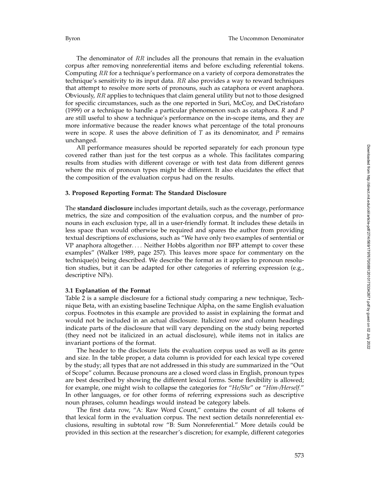The denominator of  $RR$  includes all the pronouns that remain in the evaluation corpus after removing nonreferential items and before excluding referential tokens. Computing RR for a technique's performance on a variety of corpora demonstrates the technique's sensitivity to its input data.  $RR$  also provides a way to reward techniques that attempt to resolve more sorts of pronouns, such as cataphora or event anaphora. Obviously,  $RR$  applies to techniques that claim general utility but not to those designed for specific circumstances, such as the one reported in Suri, McCoy, and DeCristofaro (1999) or a technique to handle a particular phenomenon such as cataphora. *R* and *P* are still useful to show a technique's performance on the in-scope items, and they are more informative because the reader knows what percentage of the total pronouns were in scope. *R* uses the above definition of *T* as its denominator, and *P* remains unchanged.

All performance measures should be reported separately for each pronoun type covered rather than just for the test corpus as a whole. This facilitates comparing results from studies with different coverage or with test data from different genres where the mix of pronoun types might be different. It also elucidates the effect that the composition of the evaluation corpus had on the results.

## **3. Proposed Reporting Format: The Standard Disclosure**

The **standard disclosure** includes important details, such as the coverage, performance metrics, the size and composition of the evaluation corpus, and the number of pronouns in each exclusion type, all in a user-friendly format. It includes these details in less space than would otherwise be required and spares the author from providing textual descriptions of exclusions, such as "We have only two examples of sentential or VP anaphora altogether*....* Neither Hobbs algorithm nor BFP attempt to cover these examples" (Walker 1989, page 257). This leaves more space for commentary on the technique(s) being described. We describe the format as it applies to pronoun resolution studies, but it can be adapted for other categories of referring expression (e.g., descriptive NPs).

## **3.1 Explanation of the Format**

Table 2 is a sample disclosure for a fictional study comparing a new technique, Technique Beta, with an existing baseline Technique Alpha, on the same English evaluation corpus. Footnotes in this example are provided to assist in explaining the format and would not be included in an actual disclosure. Italicized row and column headings indicate parts of the disclosure that will vary depending on the study being reported (they need not be italicized in an actual disclosure), while items not in italics are invariant portions of the format.

The header to the disclosure lists the evaluation corpus used as well as its genre and size. In the table proper, a data column is provided for each lexical type covered by the study; all types that are not addressed in this study are summarized in the "Out of Scope" column. Because pronouns are a closed word class in English, pronoun types are best described by showing the different lexical forms. Some flexibility is allowed; for example, one might wish to collapse the categories for "*He/She*" or "*Him-/Herself*." In other languages, or for other forms of referring expressions such as descriptive noun phrases, column headings would instead be category labels.

The first data row, "A: Raw Word Count," contains the count of all tokens of that lexical form in the evaluation corpus. The next section details nonreferential exclusions, resulting in subtotal row "B: Sum Nonreferential." More details could be provided in this section at the researcher's discretion; for example, different categories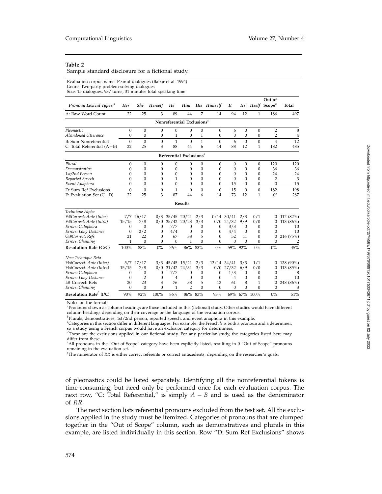## **Table 2**

Sample standard disclosure for a fictional study.

Evaluation corpus name: Peanut dialogues (Babar et al. 1994) Genre: Two-party problem-solving dialogues Size: 15 dialogues, 937 turns, 31 minutes total speaking time

|                                                 |              |                |                |              |                                                  |              |              |                 |                  |                  | Out of                    |           |
|-------------------------------------------------|--------------|----------------|----------------|--------------|--------------------------------------------------|--------------|--------------|-----------------|------------------|------------------|---------------------------|-----------|
| Pronoun Lexical Types: <sup>a</sup>             | Her          | <b>She</b>     | <b>Herself</b> | He           | Him                                              |              | His Himself  | It              | Its              |                  | Itself Scope <sup>b</sup> | Total     |
| A: Raw Word Count                               | 22           | 25             | 3              | 89           | 44                                               | 7            | 14           | 94              | 12               | 1                | 186                       | 497       |
|                                                 |              |                |                |              | Nonreferential Exclusions $c$                    |              |              |                 |                  |                  |                           |           |
| Pleonastic                                      | $\mathbf{0}$ | $\Omega$       | $\mathbf{0}$   | $\Omega$     | $\mathbf{0}$                                     | $\Omega$     | $\mathbf{0}$ | 6               | 0                | $\mathbf{0}$     | 2                         | 8         |
| Abandoned Utterance                             | $\mathbf{0}$ | $\mathbf{0}$   | $\mathbf{0}$   | 1            | 0                                                | 1            | $\mathbf{0}$ | $\mathbf{0}$    | $\mathbf{0}$     | $\mathbf{0}$     | $\overline{2}$            | 4         |
| <b>B:</b> Sum Nonreferential                    | $\Omega$     | $\Omega$       | $\mathbf{0}$   | $\mathbf{1}$ | $\Omega$                                         | $\mathbf{1}$ | $\Omega$     | 6               | $\Omega$         | $\mathbf{0}$     | $\overline{4}$            | 12        |
| C: Total Referential (A-B)                      | 22           | 25             | 3              | 88           | 44                                               | 6            | 14           | 88              | 12               | 1                | 182                       | 485       |
|                                                 |              |                |                |              | Referential Exclusions <sup><math>d</math></sup> |              |              |                 |                  |                  |                           |           |
| Plural                                          | $\mathbf{0}$ | $\Omega$       | $\mathbf{0}$   | $\mathbf{0}$ | 0                                                | $\mathbf{0}$ | $\mathbf{0}$ | $\mathbf{0}$    | $\boldsymbol{0}$ | $\boldsymbol{0}$ | 120                       | 120       |
| Demonstrative                                   | $\Omega$     | $\Omega$       | 0              | $\mathbf{0}$ | 0                                                | $\mathbf{0}$ | $\mathbf{0}$ | $\mathbf{0}$    | 0                | $\mathbf{0}$     | 36                        | 36        |
| 1st/2nd Person                                  | 0            | $\Omega$       | 0              | $\Omega$     | 0                                                | $\mathbf{0}$ | $\mathbf{0}$ | $\mathbf{0}$    | $\Omega$         | $\Omega$         | 24                        | 24        |
| Reported Speech                                 | 0            | $\Omega$       | 0              | 1            | $\mathbf{0}$                                     | $\mathbf{0}$ | $\mathbf{0}$ | $\mathbf{0}$    | $\mathbf{0}$     | $\mathbf{0}$     | $\overline{2}$            | 3         |
| Event Anaphora                                  | $\Omega$     | $\Omega$       | 0              | $\mathbf{0}$ | $\Omega$                                         | $\Omega$     | $\Omega$     | 15              | $\Omega$         | $\Omega$         | $\overline{0}$            | 15        |
| D: Sum Ref Exclusions                           | $\Omega$     | $\Omega$       | $\mathbf{0}$   | $\mathbf{1}$ | $\Omega$                                         | $\Omega$     | $\Omega$     | 15              | $\Omega$         | $\Omega$         | 182                       | 198       |
| E: Evaluation Set $(C-D)$                       | 22           | 25             | 3              | 87           | 44                                               | 6            | 14           | 73              | 12               | 1                | $0^e$                     | 287       |
|                                                 |              |                |                |              | <b>Results</b>                                   |              |              |                 |                  |                  |                           |           |
| Technique Alpha                                 |              |                |                |              |                                                  |              |              |                 |                  |                  |                           |           |
| F:#Correct: Ante (Inter)                        | 7/7          | 16/17          | 0/3            | 35/45        | 20/21                                            | 2/3          | 0/14         | 30/41           | 2/3              | 0/1              | 0                         | 112 (82%) |
| F:#Correct: Ante (Intra)                        | 15/15        | 7/8            | 0/0            | 35/42        | 20/23                                            | 3/3          | 0/0          | 24/32           | 9/9              | 0/0              | $\mathbf{0}$              | 113 (86%) |
| Errors: Cataphora                               | $\Omega$     | $\Omega$       | $\mathbf{0}$   | 7/7          | $\theta$                                         | $\mathbf{0}$ | $\mathbf{0}$ | 3/3             | $\mathbf{0}$     | $\mathbf{0}$     | $\mathbf{0}$              | 10        |
| Errors: Long Distance                           | $\Omega$     | 2/2            | $\Omega$       | 4/4          | $\theta$                                         | $\Omega$     | $\Omega$     | 4/4             | $\Omega$         | $\theta$         | $\Omega$                  | 10        |
| G:#Correct: Refs                                | 21           | 22             | $\Omega$       | 67           | 38                                               | 5            | $\Omega$     | 52              | 11               | $\theta$         | $\Omega$                  | 216 (75%) |
| Errors: Chaining                                | 1            | $\Omega$       | 0              | $\Omega$     | 1                                                | $\Omega$     | $\Omega$     | $\Omega$        | $\Omega$         | $\theta$         | $\Omega$                  | 2         |
| <b>Resolution Rate (G/C)</b>                    | 100%         | 88%            | $0\%$          | 76%          | 86%                                              | 83%          | $0\%$        | 59%             | 92%              | $0\%$            | 0%                        | 45%       |
| New Technique Beta                              |              |                |                |              |                                                  |              |              |                 |                  |                  |                           |           |
| H:#Correct: Ante (Inter)                        |              | 5/7 17/17      | 3/3            | 45/45        | 15/21                                            | 2/3          |              | $13/14$ $34/41$ | 3/3              | 1/1              | 0                         | 138 (90%) |
| H:#Correct: Ante (Intra)                        | 15/15        | 7/8            | 0/0            | 31/42 24/31  |                                                  | 3/3          | 0/0          | 27/32           | 6/9              | 0/0              | $\mathbf{0}$              | 113 (85%) |
| Errors: Cataphora                               | $\mathbf{0}$ | $\mathbf{0}$   | $\mathbf{0}$   | 7/7          | $\theta$                                         | $\mathbf{0}$ | $\mathbf{0}$ | 1/3             | $\mathbf{0}$     | $\mathbf{0}$     | $\Omega$                  | 8         |
| Errors: Long Distance                           | $\mathbf{0}$ | $\overline{2}$ | $\mathbf{0}$   | 4            | $\theta$                                         | $\mathbf{0}$ | $\mathbf{0}$ | 4               | $\Omega$         | $\mathbf{0}$     | $\Omega$                  | 10        |
| I:# Correct: Refs                               | 20           | 23             | 3              | 76           | 38                                               | 5            | 13           | 61              | 8                | 1                | 0                         | 248 (86%) |
| Errors: Chaining                                | $\Omega$     | $\Omega$       | $\Omega$       | 1            | $\overline{2}$                                   | $\Omega$     | $\Omega$     | $\Omega$        | $\theta$         | $\theta$         | $\Omega$                  | 3         |
| Resolution Rate <sup><math>f</math></sup> (I/C) | 90%          | 92%            | 100%           | 86%          |                                                  | 86% 83%      | 93%          |                 | 69% 67%          | 100%             | 0%                        | 51%       |

Notes on the format:

*a* Pronouns shown as column headings are those included in this (fictional) study. Other studies would have different column headings depending on their coverage or the language of the evaluation corpus.

*b* Plurals, demonstratives, 1st/2nd person, reported speech, and event anaphora in this example.

*c* Categories in this section differ in different languages. For example, the French *le* is both a pronoun and a determiner, so a study using a French corpus would have an exclusion category for determiners.

*d* These are the exclusions applied in our fictional study. For any particular study, the categories listed here may differ from these.

*e* All pronouns in the "Out of Scope" category have been explicitly listed, resulting in 0 "Out of Scope" pronouns remaining in the evaluation set.

*f* The numerator of *RR* is either correct referents or correct antecedents, depending on the researcher's goals.

of pleonastics could be listed separately. Identifying all the nonreferential tokens is time-consuming, but need only be performed once for each evaluation corpus. The next row, "C: Total Referential," is simply  $A - B$  and is used as the denominator of RR.

The next section lists referential pronouns excluded from the test set. All the exclusions applied in the study must be itemized. Categories of pronouns that are clumped together in the "Out of Scope" column, such as demonstratives and plurals in this example, are listed individually in this section. Row "D: Sum Ref Exclusions" shows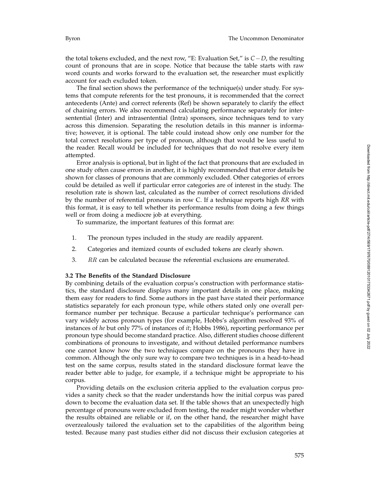the total tokens excluded, and the next row, "E: Evaluation Set," is *C* − *D*, the resulting count of pronouns that are in scope. Notice that because the table starts with raw word counts and works forward to the evaluation set, the researcher must explicitly account for each excluded token.

The final section shows the performance of the technique(s) under study. For systems that compute referents for the test pronouns, it is recommended that the correct antecedents (Ante) and correct referents (Ref) be shown separately to clarify the effect of chaining errors. We also recommend calculating performance separately for intersentential (Inter) and intrasentential (Intra) sponsors, since techniques tend to vary across this dimension. Separating the resolution details in this manner is informative; however, it is optional. The table could instead show only one number for the total correct resolutions per type of pronoun, although that would be less useful to the reader. Recall would be included for techniques that do not resolve every item attempted.

Error analysis is optional, but in light of the fact that pronouns that are excluded in one study often cause errors in another, it is highly recommended that error details be shown for classes of pronouns that are commonly excluded. Other categories of errors could be detailed as well if particular error categories are of interest in the study. The resolution rate is shown last, calculated as the number of correct resolutions divided by the number of referential pronouns in row C. If a technique reports high *RR* with this format, it is easy to tell whether its performance results from doing a few things well or from doing a mediocre job at everything.

To summarize, the important features of this format are:

- 1. The pronoun types included in the study are readily apparent.
- 2. Categories and itemized counts of excluded tokens are clearly shown.
- 3. RR can be calculated because the referential exclusions are enumerated.

## **3.2 The Benefits of the Standard Disclosure**

By combining details of the evaluation corpus's construction with performance statistics, the standard disclosure displays many important details in one place, making them easy for readers to find. Some authors in the past have stated their performance statistics separately for each pronoun type, while others stated only one overall performance number per technique. Because a particular technique's performance can vary widely across pronoun types (for example, Hobbs's algorithm resolved 93% of instances of *he* but only 77% of instances of *it*; Hobbs 1986), reporting performance per pronoun type should become standard practice. Also, different studies choose different combinations of pronouns to investigate, and without detailed performance numbers one cannot know how the two techniques compare on the pronouns they have in common. Although the only sure way to compare two techniques is in a head-to-head test on the same corpus, results stated in the standard disclosure format leave the reader better able to judge, for example, if a technique might be appropriate to his corpus.

Providing details on the exclusion criteria applied to the evaluation corpus provides a sanity check so that the reader understands how the initial corpus was pared down to become the evaluation data set. If the table shows that an unexpectedly high percentage of pronouns were excluded from testing, the reader might wonder whether the results obtained are reliable or if, on the other hand, the researcher might have overzealously tailored the evaluation set to the capabilities of the algorithm being tested. Because many past studies either did not discuss their exclusion categories at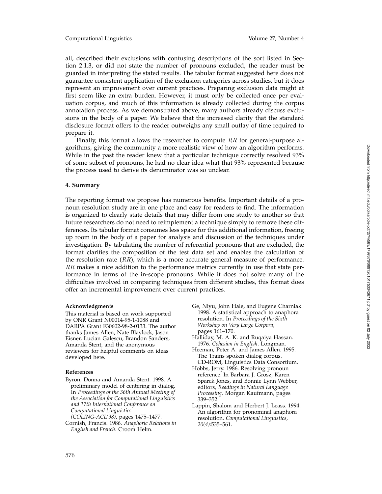all, described their exclusions with confusing descriptions of the sort listed in Section 2.1.3, or did not state the number of pronouns excluded, the reader must be guarded in interpreting the stated results. The tabular format suggested here does not guarantee consistent application of the exclusion categories across studies, but it does represent an improvement over current practices. Preparing exclusion data might at first seem like an extra burden. However, it must only be collected once per evaluation corpus, and much of this information is already collected during the corpus annotation process. As we demonstrated above, many authors already discuss exclusions in the body of a paper. We believe that the increased clarity that the standard disclosure format offers to the reader outweighs any small outlay of time required to prepare it.

Finally, this format allows the researcher to compute RR for general-purpose algorithms, giving the community a more realistic view of how an algorithm performs. While in the past the reader knew that a particular technique correctly resolved 93% of some subset of pronouns, he had no clear idea what that 93% represented because the process used to derive its denominator was so unclear.

# **4. Summary**

The reporting format we propose has numerous benefits. Important details of a pronoun resolution study are in one place and easy for readers to find. The information is organized to clearly state details that may differ from one study to another so that future researchers do not need to reimplement a technique simply to remove these differences. Its tabular format consumes less space for this additional information, freeing up room in the body of a paper for analysis and discussion of the techniques under investigation. By tabulating the number of referential pronouns that are excluded, the format clarifies the composition of the test data set and enables the calculation of the resolution rate  $(RR)$ , which is a more accurate general measure of performance.  $RR$  makes a nice addition to the performance metrics currently in use that state performance in terms of the in-scope pronouns. While it does not solve many of the difficulties involved in comparing techniques from different studies, this format does offer an incremental improvement over current practices.

### **Acknowledgments**

This material is based on work supported by ONR Grant N00014-95-1-1088 and DARPA Grant F30602-98-2-0133. The author thanks James Allen, Nate Blaylock, Jason Eisner, Lucian Galescu, Brandon Sanders, Amanda Stent, and the anonymous reviewers for helpful comments on ideas developed here.

#### **References**

- Byron, Donna and Amanda Stent. 1998. A preliminary model of centering in dialog. In *Proceedings of the 36th Annual Meeting of the Association for Computational Linguistics and 17th International Conference on Computational Linguistics*
- *(COLING-ACL'98)*, pages 1475–1477. Cornish, Francis. 1986. *Anaphoric Relations in English and French*. Croom Helm.
- Ge, Niyu, John Hale, and Eugene Charniak. 1998. A statistical approach to anaphora resolution. In *Proceedings of the Sixth Workshop on Very Large Corpora* , pages 161–170.
- Halliday, M. A. K. and Ruqaiya Hassan. 1976. *Cohesion in English*. Longman.
- Heeman, Peter A. and James Allen. 1995. The Trains spoken dialog corpus. CD-ROM, Linguistics Data Consortium.
- Hobbs, Jerry. 1986. Resolving pronoun reference. In Barbara J. Grosz, Karen Sparck Jones, and Bonnie Lynn Webber, editors, *Readings in Natural Language Processing*. Morgan Kaufmann, pages 339–352.
- Lappin, Shalom and Herbert J. Leass. 1994. An algorithm for pronominal anaphora resolution. *Computational Linguistics, 20(4)*:535–561.